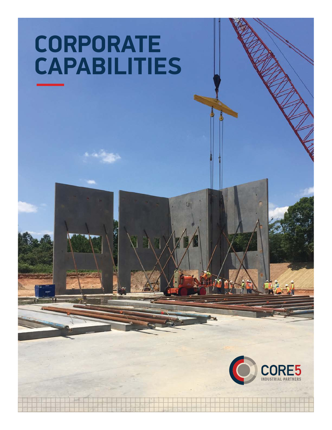# **CORPORATE CAPABILITIES**

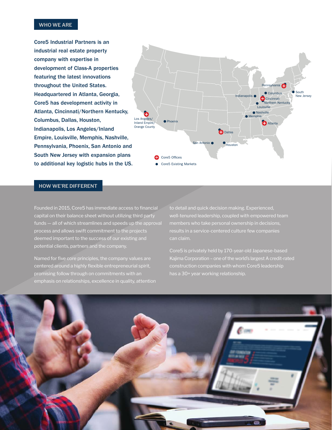### **WHO WE ARE**

Core5 Industrial Partners is an industrial real estate property company with expertise in development of Class-A properties featuring the latest innovations throughout the United States. Headquartered in Atlanta, Georgia, Core5 has development activity in Atlanta, Cincinnati/Northern Kentucky, Columbus, Dallas, Houston, Indianapolis, Los Angeles/Inland Empire, Louisville, Memphis, Nashville, Pennsylvania, Phoenix, San Antonio and South New Jersey with expansion plans to additional key logistic hubs in the US.



#### **HOW WE'RE DIFFERENT**

Founded in 2015, Core5 has immediate access to financial capital on their balance sheet without utilizing third party funds — all of which streamlines and speeds up the approval process and allows swift commitment to the projects deemed important to the success of our existing and potential clients, partners and the company.

Named for five core principles, the company values are centered around a highly flexible entrepreneurial spirit, promising follow through on commitments with an

to detail and quick decision making. Experienced, well-tenured leadership, coupled with empowered team results in a service-centered culture few companies

Core5 is privately held by 170-year-old Japanese-based Kajima Corporation – one of the world's largest A credit-rated has a 30+ year working relationship.

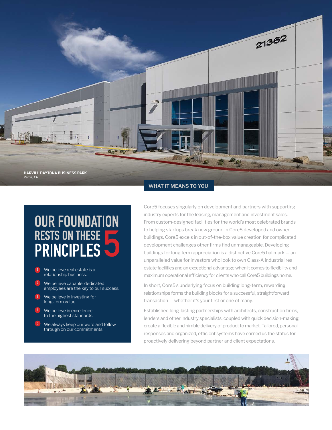

## **OUR FOUNDATION RESTS ON THESE PRINCIPLES**

- $\left( 1\right)$ We believe real estate is a relationship business.
- $\left( 2\right)$ We believe capable, dedicated employees are the key to our success.
- $\left(3\right)$ We believe in investing for long-term value.
- 4 We believe in excellence to the highest standards.
- 5 We always keep our word and follow through on our commitments.

### **WHAT IT MEANS TO YOU**

Core5 focuses singularly on development and partners with supporting industry experts for the leasing, management and investment sales. From custom-designed facilities for the world's most celebrated brands to helping startups break new ground in Core5 developed and owned buildings, Core5 excels in out-of-the-box value creation for complicated development challenges other firms find unmanageable. Developing buildings for long term appreciation is a distinctive Core5 hallmark — an unparalleled value for investors who look to own Class-A industrial real estate facilities and an exceptional advantage when it comes to flexibility and maximum operational efficiency for clients who call Core5 buildings home.

In short, Core5's underlying focus on building long-term, rewarding relationships forms the building blocks for a successful, straightforward transaction — whether it's your first or one of many.

Established long-lasting partnerships with architects, construction firms, lenders and other industry specialists, coupled with quick decision-making, create a flexible and nimble delivery of product to market. Tailored, personal responses and organized, efficient systems have earned us the status for proactively delivering beyond partner and client expectations.